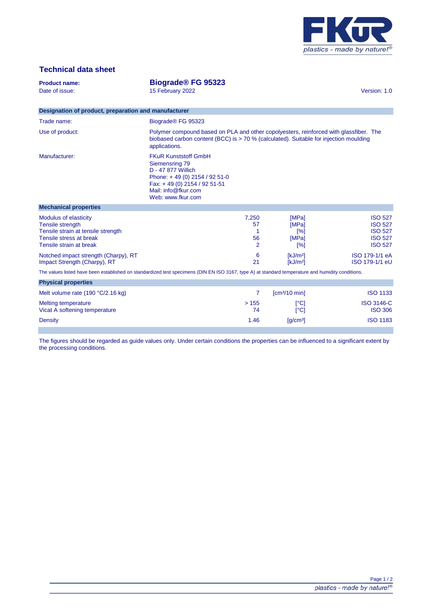

# **Technical data sheet**

| <b>Product name:</b><br>Date of issue:<br>Designation of product, preparation and manufacturer<br>Trade name:<br>Use of product:                  | Biograde <sup>®</sup> FG 95323<br>15 February 2022<br>Biograde <sup>®</sup> FG 95323<br>Polymer compound based on PLA and other copolyesters, reinforced with glassfiber. The<br>biobased carbon content (BCC) is $> 70$ % (calculated). Suitable for injection moulding |                                          |                                              | Version: 1.0                                                                           |
|---------------------------------------------------------------------------------------------------------------------------------------------------|--------------------------------------------------------------------------------------------------------------------------------------------------------------------------------------------------------------------------------------------------------------------------|------------------------------------------|----------------------------------------------|----------------------------------------------------------------------------------------|
| Manufacturer:                                                                                                                                     | applications.<br><b>FKuR Kunststoff GmbH</b><br>Siemensring 79<br>D - 47 877 Willich<br>Phone: +49 (0) 2154 / 92 51-0<br>Fax: +49 (0) 2154 / 92 51-51<br>Mail: info@fkur.com<br>Web: www.fkur.com                                                                        |                                          |                                              |                                                                                        |
| <b>Mechanical properties</b>                                                                                                                      |                                                                                                                                                                                                                                                                          |                                          |                                              |                                                                                        |
| Modulus of elasticity<br><b>Tensile strength</b><br>Tensile strain at tensile strength<br>Tensile stress at break<br>Tensile strain at break      |                                                                                                                                                                                                                                                                          | 7,250<br>57<br>1<br>56<br>$\overline{2}$ | [MPa]<br>[MPa]<br>[%]<br>[MPa]<br>[%]        | <b>ISO 527</b><br><b>ISO 527</b><br><b>ISO 527</b><br><b>ISO 527</b><br><b>ISO 527</b> |
| Notched impact strength (Charpy), RT<br>Impact Strength (Charpy), RT                                                                              |                                                                                                                                                                                                                                                                          | 6<br>21                                  | [kJ/m <sup>2</sup> ]<br>[kJ/m <sup>2</sup> ] | ISO 179-1/1 eA<br>ISO 179-1/1 eU                                                       |
| The values listed have been established on standardized test specimens (DIN EN ISO 3167, type A) at standard temperature and humidity conditions. |                                                                                                                                                                                                                                                                          |                                          |                                              |                                                                                        |
| <b>Physical properties</b>                                                                                                                        |                                                                                                                                                                                                                                                                          |                                          |                                              |                                                                                        |
| Melt volume rate (190 °C/2.16 kg)                                                                                                                 |                                                                                                                                                                                                                                                                          | $\overline{7}$                           | [cm <sup>3</sup> /10 min]                    | <b>ISO 1133</b>                                                                        |
| <b>Melting temperature</b><br>Vicat A softening temperature                                                                                       |                                                                                                                                                                                                                                                                          | >155<br>74                               | $\lceil$ °Cl<br>$\lceil$ °Cl                 | <b>ISO 3146-C</b><br><b>ISO 306</b>                                                    |
| Density                                                                                                                                           |                                                                                                                                                                                                                                                                          | 1.46                                     | $\left[\frac{q}{cm^3}\right]$                | <b>ISO 1183</b>                                                                        |

The figures should be regarded as guide values only. Under certain conditions the properties can be influenced to a significant extent by the processing conditions.